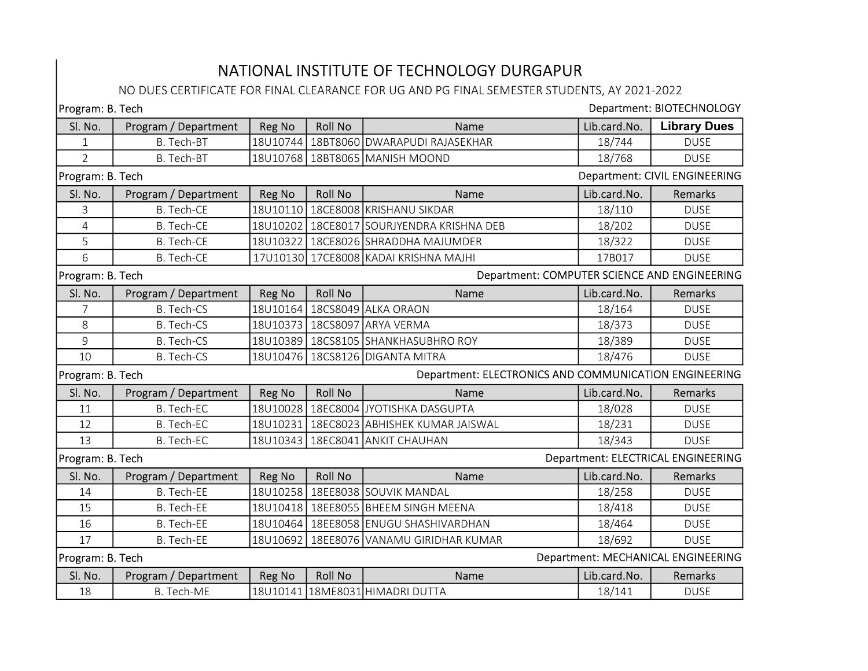## NATIONAL INSTITUTE OF TECHNOLOGY DURGAPUR

## NO DUES CERTIFICATE FOR FINAL CLEARANCE FOR UG AND PG FINAL SEMESTER STUDENTS, AY 2021-2022

| Department: BIOTECHNOLOGY<br>Program: B. Tech                             |                      |          |                |                                             |                                    |                                      |  |
|---------------------------------------------------------------------------|----------------------|----------|----------------|---------------------------------------------|------------------------------------|--------------------------------------|--|
| Sl. No.                                                                   | Program / Department | Reg No   | <b>Roll No</b> | Name                                        | Lib.card.No.                       | <b>Library Dues</b>                  |  |
| 1                                                                         | B. Tech-BT           | 18U10744 |                | 18BT8060 DWARAPUDI RAJASEKHAR               | 18/744                             | <b>DUSE</b>                          |  |
| $\overline{2}$                                                            | B. Tech-BT           |          |                | 18U10768   18BT8065   MANISH MOOND          | 18/768                             | <b>DUSE</b>                          |  |
| Program: B. Tech                                                          |                      |          |                |                                             |                                    | <b>Department: CIVIL ENGINEERING</b> |  |
| Sl. No.                                                                   | Program / Department | Reg No   | <b>Roll No</b> | Name                                        | Lib.card.No.                       | Remarks                              |  |
| 3                                                                         | <b>B.</b> Tech-CE    |          |                | 18U10110   18CE8008   KRISHANU SIKDAR       | 18/110                             | <b>DUSE</b>                          |  |
| $\overline{4}$                                                            | <b>B.</b> Tech-CE    |          |                | 18U10202   18CE8017 SOURJYENDRA KRISHNA DEB | 18/202                             | <b>DUSE</b>                          |  |
| 5                                                                         | B. Tech-CE           |          |                | 18U10322 18CE8026 SHRADDHA MAJUMDER         | 18/322                             | <b>DUSE</b>                          |  |
| 6                                                                         | B. Tech-CE           |          |                | 17U10130 17CE8008 KADAI KRISHNA MAJHI       | 17B017                             | <b>DUSE</b>                          |  |
| Department: COMPUTER SCIENCE AND ENGINEERING<br>Program: B. Tech          |                      |          |                |                                             |                                    |                                      |  |
| Sl. No.                                                                   | Program / Department | Reg No   | <b>Roll No</b> | Name                                        | Lib.card.No.                       | Remarks                              |  |
| 7                                                                         | <b>B.</b> Tech-CS    |          |                | 18U10164 18CS8049 ALKA ORAON                | 18/164                             | <b>DUSE</b>                          |  |
| 8                                                                         | <b>B.</b> Tech-CS    |          |                | 18U10373   18CS8097 ARYA VERMA              | 18/373                             | <b>DUSE</b>                          |  |
| 9                                                                         | B. Tech-CS           |          |                | 18U10389 18CS8105 SHANKHASUBHRO ROY         | 18/389                             | <b>DUSE</b>                          |  |
| 10                                                                        | <b>B.</b> Tech-CS    |          |                | 18U10476   18CS8126   DIGANTA MITRA         | 18/476                             | <b>DUSE</b>                          |  |
| Department: ELECTRONICS AND COMMUNICATION ENGINEERING<br>Program: B. Tech |                      |          |                |                                             |                                    |                                      |  |
| Sl. No.                                                                   | Program / Department | Reg No   | <b>Roll No</b> | Name                                        | Lib.card.No.                       | Remarks                              |  |
| 11                                                                        | <b>B.</b> Tech-EC    |          |                | 18U10028   18EC8004 JYOTISHKA DASGUPTA      | 18/028                             | <b>DUSE</b>                          |  |
| 12                                                                        | <b>B.</b> Tech-EC    |          |                | 18U10231   18EC8023 ABHISHEK KUMAR JAISWAL  | 18/231                             | <b>DUSE</b>                          |  |
| 13                                                                        | B. Tech-EC           |          |                | 18U10343   18EC8041 ANKIT CHAUHAN           | 18/343                             | <b>DUSE</b>                          |  |
| Department: ELECTRICAL ENGINEERING<br>Program: B. Tech                    |                      |          |                |                                             |                                    |                                      |  |
| Sl. No.                                                                   | Program / Department | Reg No   | <b>Roll No</b> | Name                                        | Lib.card.No.                       | Remarks                              |  |
| 14                                                                        | <b>B.</b> Tech-EE    |          |                | 18U10258   18EE8038 SOUVIK MANDAL           | 18/258                             | <b>DUSE</b>                          |  |
| 15                                                                        | B. Tech-EE           |          |                | 18U10418   18EE8055   BHEEM SINGH MEENA     | 18/418                             | <b>DUSE</b>                          |  |
| 16                                                                        | <b>B.</b> Tech-EE    |          |                | 18U10464 18EE8058 ENUGU SHASHIVARDHAN       | 18/464                             | <b>DUSE</b>                          |  |
| 17                                                                        | <b>B.</b> Tech-EE    |          |                | 18U10692   18EE8076 VANAMU GIRIDHAR KUMAR   | 18/692                             | <b>DUSE</b>                          |  |
| Program: B. Tech                                                          |                      |          |                |                                             | Department: MECHANICAL ENGINEERING |                                      |  |
| Sl. No.                                                                   | Program / Department | Reg No   | <b>Roll No</b> | Name                                        | Lib.card.No.                       | Remarks                              |  |
| 18                                                                        | B. Tech-ME           |          |                | 18U10141 18ME8031 HIMADRI DUTTA             | 18/141                             | <b>DUSE</b>                          |  |